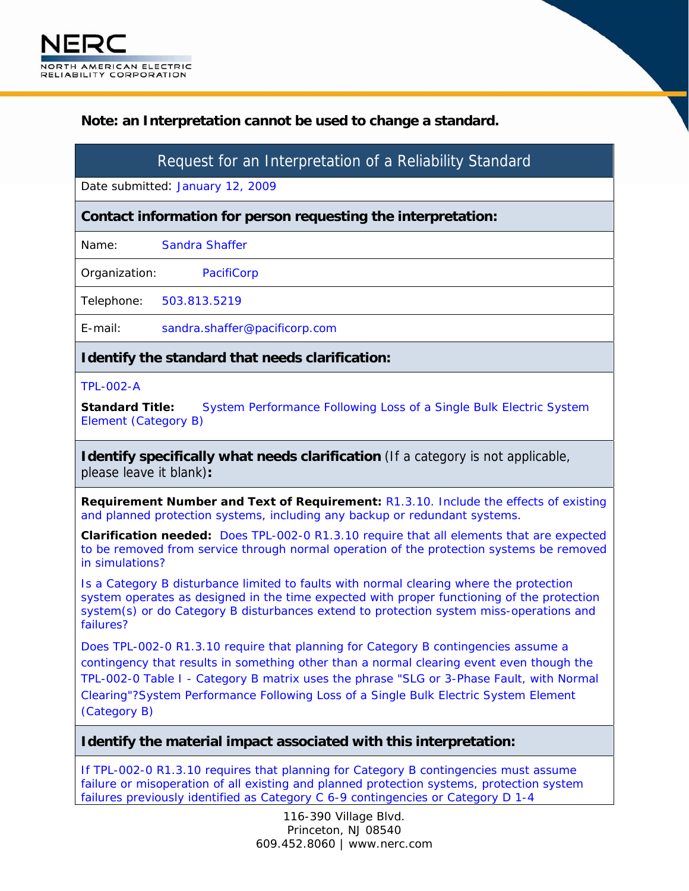## **Note: an Interpretation cannot be used to change a standard.**

# Request for an Interpretation of a Reliability Standard

Date submitted: January 12, 2009

**Contact information for person requesting the interpretation:** 

Name: Sandra Shaffer

Organization: PacifiCorp

Telephone: 503.813.5219

E-mail: sandra.shaffer@pacificorp.com

## **Identify the standard that needs clarification:**

#### TPL-002-A

**Standard Title:** System Performance Following Loss of a Single Bulk Electric System Element (Category B)

**Identify specifically what needs clarification** (If a category is not applicable, please leave it blank)**:** 

**Requirement Number and Text of Requirement:** R1.3.10. Include the effects of existing and planned protection systems, including any backup or redundant systems.

**Clarification needed:** Does TPL-002-0 R1.3.10 require that all elements that are expected to be removed from service through normal operation of the protection systems be removed in simulations?

Is a Category B disturbance limited to faults with normal clearing where the protection system operates as designed in the time expected with proper functioning of the protection system(s) or do Category B disturbances extend to protection system miss-operations and failures?

Does TPL-002-0 R1.3.10 require that planning for Category B contingencies assume a contingency that results in something other than a normal clearing event even though the TPL-002-0 Table I - Category B matrix uses the phrase "SLG or 3-Phase Fault, with Normal Clearing"?System Performance Following Loss of a Single Bulk Electric System Element (Category B)

### **Identify the material impact associated with this interpretation:**

If TPL-002-0 R1.3.10 requires that planning for Category B contingencies must assume failure or misoperation of all existing and planned protection systems, protection system failures previously identified as Category C 6-9 contingencies or Category D 1-4

> 116-390 Village Blvd. Princeton, NJ 08540 609.452.8060 | www.nerc.com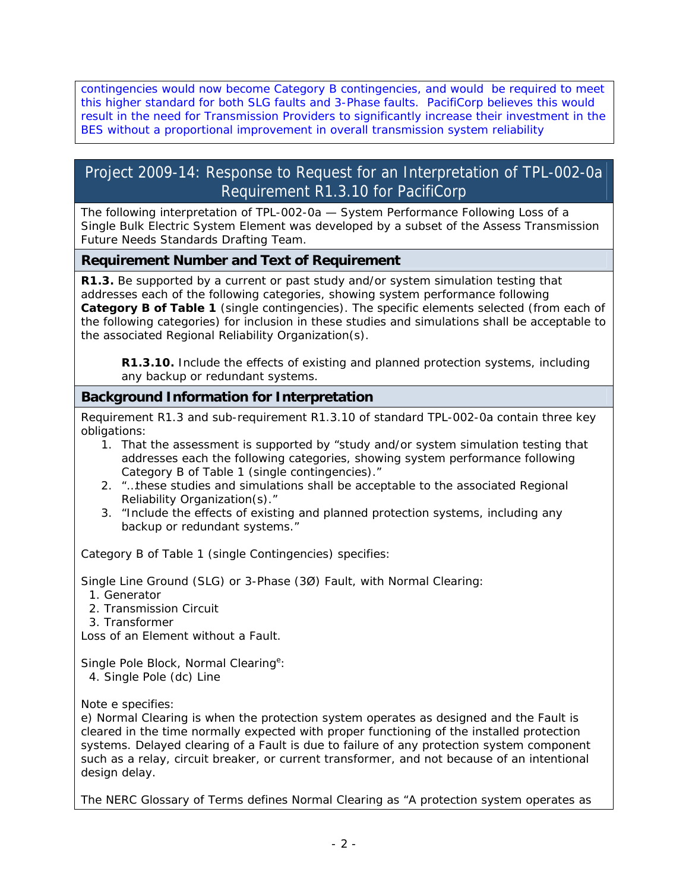contingencies would now become Category B contingencies, and would be required to meet this higher standard for both SLG faults and 3-Phase faults. PacifiCorp believes this would result in the need for Transmission Providers to significantly increase their investment in the BES without a proportional improvement in overall transmission system reliability

## Project 2009-14: Response to Request for an Interpretation of TPL-002-0a Requirement R1.3.10 for PacifiCorp

The following interpretation of TPL-002-0a — System Performance Following Loss of a Single Bulk Electric System Element was developed by a subset of the Assess Transmission Future Needs Standards Drafting Team.

## **Requirement Number and Text of Requirement**

**R1.3.** Be supported by a current or past study and/or system simulation testing that addresses each of the following categories, showing system performance following **Category B of Table 1** (single contingencies). The specific elements selected (from each of the following categories) for inclusion in these studies and simulations shall be acceptable to the associated Regional Reliability Organization(s).

**R1.3.10.** Include the effects of existing and planned protection systems, including any backup or redundant systems.

## **Background Information for Interpretation**

Requirement R1.3 and sub-requirement R1.3.10 of standard TPL-002-0a contain three key obligations:

- 1. That the assessment is supported by "study and/or system simulation testing that addresses each the following categories, showing system performance following Category B of Table 1 (single contingencies)."
- 2. "…these studies and simulations shall be acceptable to the associated Regional Reliability Organization(s)."
- 3. "Include the effects of existing and planned protection systems, including any backup or redundant systems."

*Category B of Table 1 (single Contingencies) specifies:* 

Single Line Ground (SLG) or 3-Phase (3Ø) Fault, with Normal Clearing:

1. Generator

2. Transmission Circuit

3. Transformer

Loss of an Element without a Fault.

Single Pole Block, Normal Clearing<sup>e</sup>:

4. Single Pole (dc) Line

*Note e specifies*:

e) Normal Clearing is when the protection system operates as designed and the Fault is cleared in the time normally expected with proper functioning of the installed protection systems. Delayed clearing of a Fault is due to failure of any protection system component such as a relay, circuit breaker, or current transformer, and not because of an intentional design delay.

The NERC Glossary of Terms defines Normal Clearing as "A protection system operates as